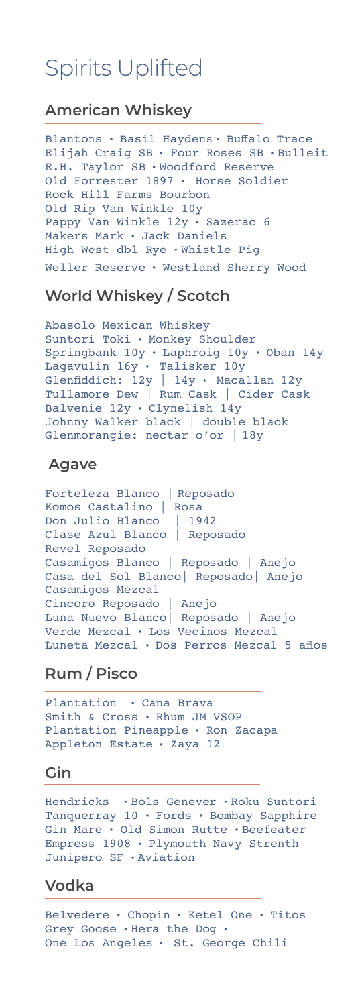## Spirits Uplifted

## **American Whiskey**

Blantons **·** Basil Haydens **·** Buffalo Trace Elijah Craig SB **·** Four Roses SB **·** Bulleit E.H. Taylor SB **·** Woodford Reserve Old Forrester 1897 **·** Horse Soldier Rock Hill Farms Bourbon Old Rip Van Winkle 10y Pappy Van Winkle 12y **·** Sazerac 6 Makers Mark **·** Jack Daniels High West dbl Rye **·** Whistle Pig Weller Reserve **·** Westland Sherry Wood

## **World Whiskey / Scotch**

Abasolo Mexican Whiskey Suntori Toki **·** Monkey Shoulder Springbank 10y **·** Laphroig 10y **·** Oban 14y Lagavulin 16y **·** Talisker 10y Glenfiddich: 12y | 14y **·** Macallan12y Tullamore Dew | Rum Cask | Cider Cask Balvenie 12y **·** Clynelish 14y Johnny Walker black | double black Glenmorangie: nectar o'or | 18y

### **Agave**

Forteleza Blanco | Reposado Komos Castalino | Rosa Don Julio Blanco | 1942 Clase Azul Blanco | Reposado Revel Reposado Casamigos Blanco | Reposado | Anejo Casa del Sol Blanco| Reposado| Anejo Casamigos Mezcal Cincoro Reposado | Anejo Luna Nuevo Blanco| Reposado | Anejo Verde Mezcal **·** Los Vecinos Mezcal Luneta Mezcal **·** Dos Perros Mezcal 5 años

## **Rum / Pisco**

Plantation **·** Cana Brava Smith & Cross **·** Rhum JM VSOP Plantation Pineapple **·** Ron Zacapa Appleton Estate **·** Zaya 12

#### **Gin**

Hendricks **·** Bols Genever **·** Roku Suntori Tanquerray 10 **·** Fords **·** Bombay Sapphire Gin Mare **·** Old Simon Rutte **·** Beefeater Empress 1908 **·** Plymouth Navy Strenth Junipero SF **·** Aviation

### **Vodka**

Belvedere **·** Chopin **·** Ketel One **·** Titos Grey Goose **·** Hera the Dog **·**  One Los Angeles **·** St. George Chili